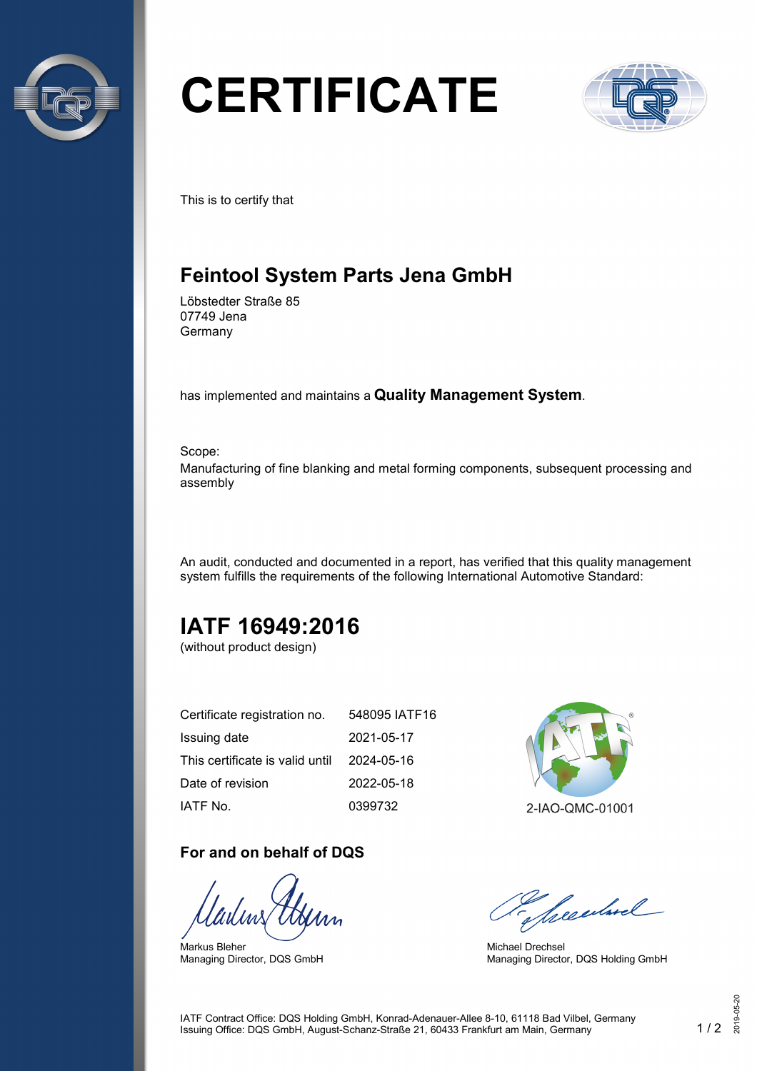

# **CERTIFICATE**



This is to certify that

## **Feintool System Parts Jena GmbH**

Löbstedter Straße 85 07749 Jena Germany

has implemented and maintains a **Quality Management System**.

Scope:

Manufacturing of fine blanking and metal forming components, subsequent processing and assembly

An audit, conducted and documented in a report, has verified that this quality management system fulfills the requirements of the following International Automotive Standard:

# **IATF 16949:2016**

(without product design)

| Certificate registration no.    | 548095 IATF16 |
|---------------------------------|---------------|
| Issuing date                    | 2021-05-17    |
| This certificate is valid until | 2024-05-16    |
| Date of revision                | 2022-05-18    |
| IATF No.                        | 0399732       |

#### **For and on behalf of DQS**

Markus Bleher Managing Director, DQS GmbH



Seculard

Michael Drechsel Managing Director, DQS Holding GmbH

IATF Contract Office: DQS Holding GmbH, Konrad-Adenauer-Allee 8-10, 61118 Bad Vilbel, Germany Issuing Office: DQS GmbH, August-Schanz-Straße 21, 60433 Frankfurt am Main, Germany 1 / 2